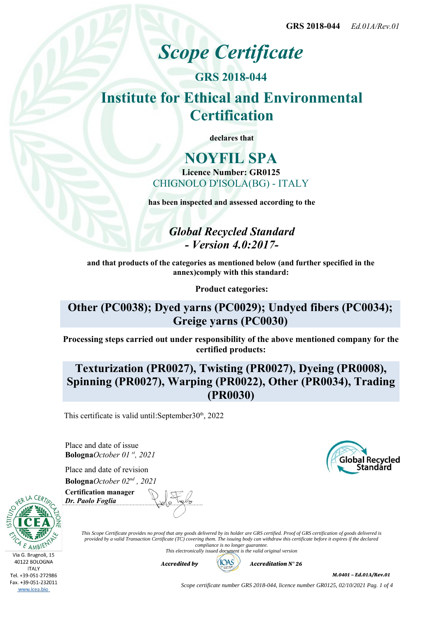# *Scope Certificate*

**GRS 2018-044 Institute for Ethical and Environmental Certification**

**declares that**

## **NOYFIL SPA Licence Number: GR0125** CHIGNOLO D'ISOLA(BG) - ITALY

**has been inspected and assessed according to the**

*Global Recycled Standard - Version 4.0:2017-*

**and that products of the categories as mentioned below (and further specified in the annex)comply with this standard:**

**Product categories:**

## **Other (PC0038); Dyed yarns (PC0029); Undyed fibers (PC0034); Greige yarns (PC0030)**

**Processing steps carried out under responsibility of the above mentioned company for the certified products:**

# **Texturization (PR0027), Twisting (PR0027), Dyeing (PR0008), Spinning (PR0027), Warping (PR0022), Other (PR0034), Trading (PR0030)**

This certificate is valid until: September  $30<sup>th</sup>$ , 2022

Place and date of issue **Bologna***October 01 st, 2021*

Place and date of revision **Bologna***October 02nd , 2021*



Via G. Brugnoli, 15 40122 BOLOGNA **ITALY** Tel. +39-051-272986 Fax. +39-051-232011 www.icea.bio

**Certification manager** *Dr. Paolo Foglia*

> *This Scope Certificate provides no proof that any goods delivered by its holder are GRS certified. Proof of GRS certification of goods delivered is provided by a valid Transaction Certificate (TC) covering them. The issuing body can withdraw this certificate before it expires if the declared compliance is no longer guarantee. This electronically issued document is the valid original version*

> > *Accredited by Accreditation N° 26*



*M.0401 – Ed.01A/Rev.01*

*Scope certificate number GRS 2018-044, licence number GR0125, 02/10/2021 Pag. 1 of 4*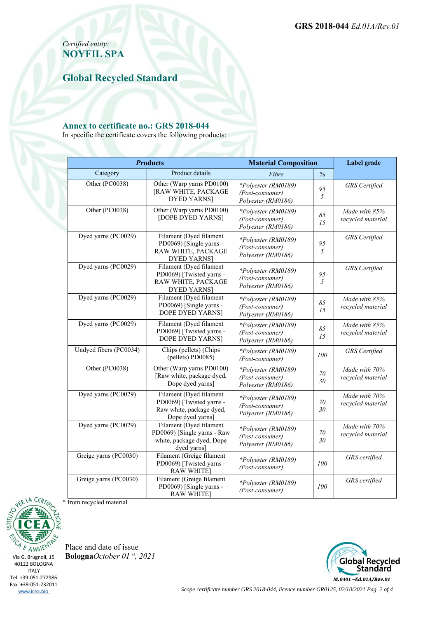*Certified entity:* **NOYFIL SPA**

**Global Recycled Standard**

#### **Annex to certificate no.: GRS 2018-044**

In specific the certificate covers the following products:

| <b>Products</b>                                   |                                                                                                     | <b>Material Composition</b>                                  |              | Label grade                        |
|---------------------------------------------------|-----------------------------------------------------------------------------------------------------|--------------------------------------------------------------|--------------|------------------------------------|
| Category                                          | Product details                                                                                     | Fibre                                                        | $\%$         |                                    |
| Other (PC0038)                                    | Other (Warp yarns PD0100)<br>[RAW WHITE, PACKAGE<br><b>DYED YARNS</b> ]                             | *Polyester (RM0189)<br>(Post-consumer)<br>Polyester (RM0186) | 95<br>5      | <b>GRS</b> Certified               |
| Other (PC0038)                                    | Other (Warp yarns PD0100)<br>[DOPE DYED YARNS]                                                      | *Polyester (RM0189)<br>(Post-consumer)<br>Polyester (RM0186) | 85<br>15     | Made with 85%<br>recycled material |
| Dyed yarns (PC0029)                               | Filament (Dyed filament<br>PD0069) [Single yarns -<br>RAW WHITE, PACKAGE<br><b>DYED YARNS</b>       | *Polyester (RM0189)<br>(Post-consumer)<br>Polyester (RM0186) | 95<br>5      | <b>GRS</b> Certified               |
| Dyed yarns (PC0029)                               | Filament (Dyed filament<br>PD0069) [Twisted yarns -<br>RAW WHITE, PACKAGE<br><b>DYED YARNS</b>      | *Polyester (RM0189)<br>(Post-consumer)<br>Polyester (RM0186) | 95<br>5      | <b>GRS</b> Certified               |
| Dyed yarns (PC0029)                               | Filament (Dyed filament<br>PD0069) [Single yarns -<br>DOPE DYED YARNS]                              | *Polyester (RM0189)<br>(Post-consumer)<br>Polyester (RM0186) | 85<br>15     | Made with 85%<br>recycled material |
| Dyed yarns (PC0029)                               | Filament (Dyed filament<br>PD0069) [Twisted yarns -<br>DOPE DYED YARNS]                             | *Polyester (RM0189)<br>(Post-consumer)<br>Polyester (RM0186) | 85<br>15     | Made with 85%<br>recycled material |
| Undyed fibers (PC0034)                            | Chips (pellets) (Chips<br>(pellets) PD0085)                                                         | *Polyester (RM0189)<br>(Post-consumer)                       | 100          | <b>GRS</b> Certified               |
| Other (PC0038)                                    | Other (Warp yarns PD0100)<br>[Raw white, package dyed,<br>Dope dyed yarns]                          | *Polyester (RM0189)<br>(Post-consumer)<br>Polyester (RM0186) | 70<br>30     | Made with 70%<br>recycled material |
| Dyed yarns (PC0029)                               | Filament (Dyed filament<br>PD0069) [Twisted yarns -<br>Raw white, package dyed,<br>Dope dyed yarns] | *Polyester (RM0189)<br>(Post-consumer)<br>Polyester (RM0186) | $70\,$<br>30 | Made with 70%<br>recycled material |
| Dyed yarns (PC0029)                               | Filament (Dyed filament<br>PD0069) [Single yarns - Raw<br>white, package dyed, Dope<br>dyed yarns]  | *Polyester (RM0189)<br>(Post-consumer)<br>Polyester (RM0186) | 70<br>30     | Made with 70%<br>recycled material |
| Greige yarns (PC0030)                             | Filament (Greige filament<br>PD0069) [Twisted yarns -<br><b>RAW WHITE]</b>                          | *Polyester (RM0189)<br>(Post-consumer)                       | 100          | GRS certified                      |
| Greige yarns (PC0030)<br>* from recycled material | Filament (Greige filament<br>PD0069) [Single yarns -<br><b>RAW WHITE</b>                            | *Polyester (RM0189)<br>(Post-consumer)                       | 100          | GRS certified                      |



Via G. Brugnoli, 15 40122 BOLOGNA **ITALY** Tel. +39-051-272986 Fax. +39-051-232011 www.icea.bio

Place and date of issue **Bologna***October 01 st, 2021*



*Scope certificate number GRS 2018-044, licence number GR0125, 02/10/2021 Pag. 2 of 4*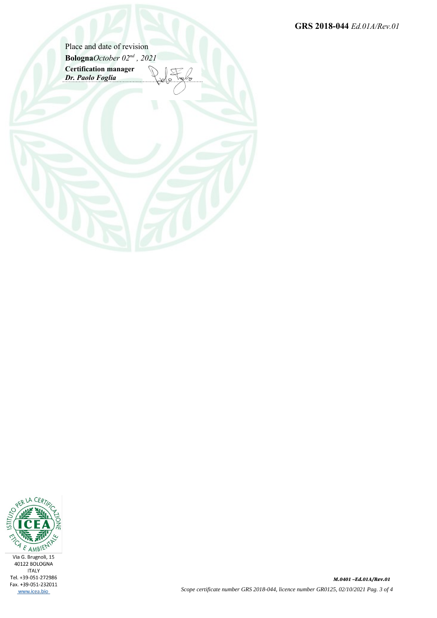**GRS 2018-044** *Ed.01A/Rev.01*

Place and date of revision **Bologna***October 02nd , 2021* **Certification manager** *Dr. Paolo Foglia*